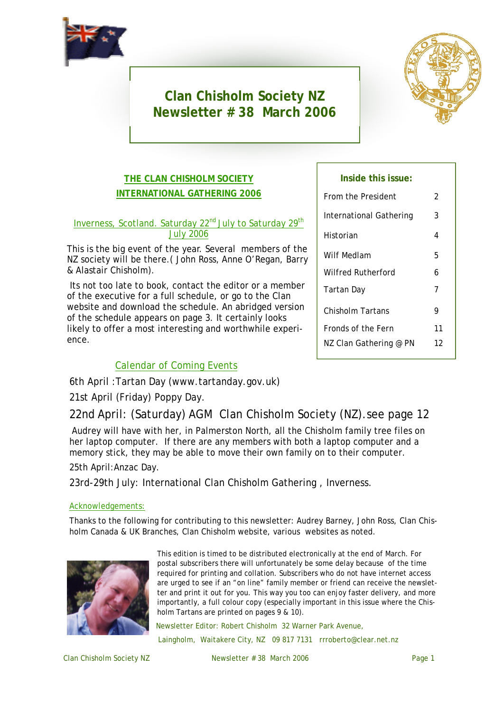

# **Clan Chisholm Society NZ Newsletter # 38 March 2006**



## **THE CLAN CHISHOLM SOCIETY INTERNATIONAL GATHERING 2006**

#### Inverness, Scotland. Saturday 22<sup>nd</sup> July to Saturday 29<sup>th</sup> July 2006

This is the big event of the year. Several members of the NZ society will be there.( John Ross, Anne O'Regan, Barry & Alastair Chisholm).

Its not too late to book, contact the editor or a member of the executive for a full schedule, or go to the Clan website and download the schedule. An abridged version of the schedule appears on page 3. It certainly looks likely to offer a most interesting and worthwhile experience.

## Calendar of Coming Events

6th April :Tartan Day (www.tartanday.gov.uk)

## 21st April (Friday) Poppy Day.

22nd April: (Saturday) AGM Clan Chisholm Society (NZ).see page 12

Audrey will have with her, in Palmerston North, all the Chisholm family tree files on her laptop computer. If there are any members with both a laptop computer and a memory stick, they may be able to move their own family on to their computer.

### 25th April:Anzac Day.

23rd-29th July: International Clan Chisholm Gathering , Inverness.

#### Acknowledgements:

Thanks to the following for contributing to this newsletter: Audrey Barney, John Ross, Clan Chisholm Canada & UK Branches, Clan Chisholm website, various websites as noted.



This edition is timed to be distributed electronically at the end of March. For postal subscribers there will unfortunately be some delay because of the time required for printing and collation. Subscribers who do not have internet access are urged to see if an "on line" family member or friend can receive the newsletter and print it out for you. This way you too can enjoy faster delivery, and more importantly, a full colour copy (especially important in this issue where the Chisholm Tartans are printed on pages 9 & 10).

Newsletter Editor: Robert Chisholm 32 Warner Park Avenue,

Laingholm, Waitakere City, NZ 09 817 7131 rrroberto@clear.net.nz

Clan Chisholm Society NZ Newsletter # 38 March 2006 Page 1

#### **Inside this issue:**

| From the President      | 2  |
|-------------------------|----|
| International Gathering | 3  |
| Historian               | 4  |
| Wilf Medlam             | 5  |
| Wilfred Rutherford      | 6  |
| Tartan Day              | 7  |
| Chisholm Tartans        | 9  |
| Fronds of the Fern      | 11 |
| NZ Clan Gathering @ PN  | 12 |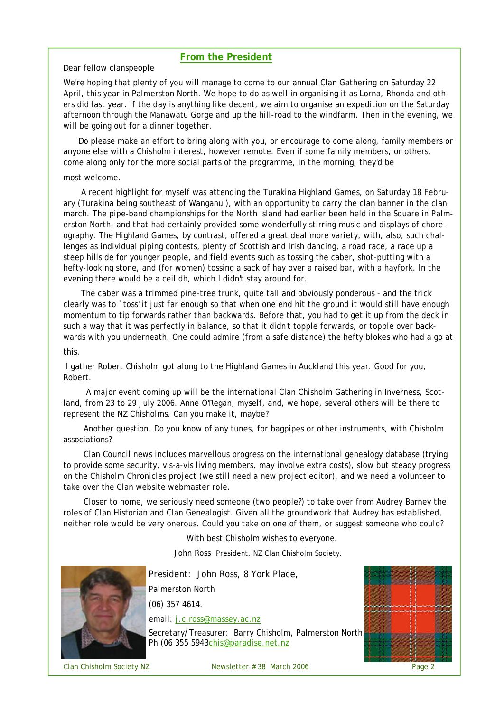#### **From the President**

Dear fellow clanspeople

We're hoping that plenty of you will manage to come to our annual Clan Gathering on Saturday 22 April, this year in Palmerston North. We hope to do as well in organising it as Lorna, Rhonda and others did last year. If the day is anything like decent, we aim to organise an expedition on the Saturday afternoon through the Manawatu Gorge and up the hill-road to the windfarm. Then in the evening, we will be going out for a dinner together.

Do please make an effort to bring along with you, or encourage to come along, family members or anyone else with a Chisholm interest, however remote. Even if some family members, or others, come along only for the more social parts of the programme, in the morning, they'd be

#### most welcome.

A recent highlight for myself was attending the Turakina Highland Games, on Saturday 18 February (Turakina being southeast of Wanganui), with an opportunity to carry the clan banner in the clan march. The pipe-band championships for the North Island had earlier been held in the Square in Palmerston North, and that had certainly provided some wonderfully stirring music and displays of choreography. The Highland Games, by contrast, offered a great deal more variety, with, also, such challenges as individual piping contests, plenty of Scottish and Irish dancing, a road race, a race up a steep hillside for younger people, and field events such as tossing the caber, shot-putting with a hefty-looking stone, and (for women) tossing a sack of hay over a raised bar, with a hayfork. In the evening there would be a ceilidh, which I didn't stay around for.

The caber was a trimmed pine-tree trunk, quite tall and obviously ponderous - and the trick clearly was to `toss' it just far enough so that when one end hit the ground it would still have enough momentum to tip forwards rather than backwards. Before that, you had to get it up from the deck in such a way that it was perfectly in balance, so that it didn't topple forwards, or topple over backwards with you underneath. One could admire (from a safe distance) the hefty blokes who had a go at this.

I gather Robert Chisholm got along to the Highland Games in Auckland this year. Good for you, Robert.

A major event coming up will be the international Clan Chisholm Gathering in Inverness, Scotland, from 23 to 29 July 2006. Anne O'Regan, myself, and, we hope, several others will be there to represent the NZ Chisholms. Can you make it, maybe?

Another question. Do you know of any tunes, for bagpipes or other instruments, with Chisholm associations?

Clan Council news includes marvellous progress on the international genealogy database (trying to provide some security, vis-a-vis living members, may involve extra costs), slow but steady progress on the Chisholm Chronicles project (we still need a new project editor), and we need a volunteer to take over the Clan website webmaster role.

Closer to home, we seriously need someone (two people?) to take over from Audrey Barney the roles of Clan Historian and Clan Genealogist. Given all the groundwork that Audrey has established, neither role would be very onerous. Could you take on one of them, or suggest someone who could?

With best Chisholm wishes to everyone.

John Ross President, NZ Clan Chisholm Society.



President: John Ross, 8 York Place, Palmerston North (06) 357 4614. email: j.c.ross@massey.ac.nz

Secretary/Treasurer: Barry Chisholm, Palmerston North Ph (06 355 5943chis@paradise.net.nz



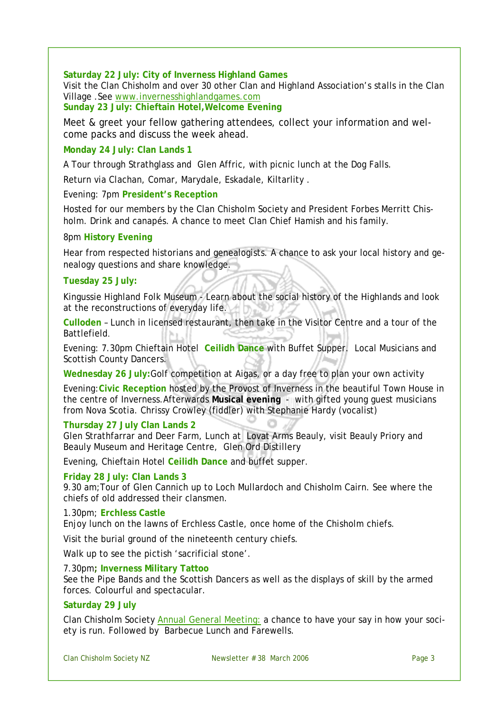**Saturday 22 July: City of Inverness Highland Games**  Visit the Clan Chisholm and over 30 other Clan and Highland Association's stalls in the Clan Village .See www.invernesshighlandgames.com

**Sunday 23 July: Chieftain Hotel,Welcome Evening** 

Meet & greet your fellow gathering attendees, collect your information and welcome packs and discuss the week ahead.

#### **Monday 24 July: Clan Lands 1**

A Tour through Strathglass and Glen Affric, with picnic lunch at the Dog Falls.

Return via Clachan, Comar, Marydale, Eskadale, Kiltarlity .

Evening: 7pm **President's Reception**

Hosted for our members by the Clan Chisholm Society and President Forbes Merritt Chisholm. Drink and canapés. A chance to meet Clan Chief Hamish and his family.

#### 8pm **History Evening**

Hear from respected historians and genealogists. A chance to ask your local history and genealogy questions and share knowledge.

#### **Tuesday 25 July:**

Kingussie Highland Folk Museum - Learn about the social history of the Highlands and look at the reconstructions of everyday life.

**Culloden** – Lunch in licensed restaurant, then take in the Visitor Centre and a tour of the Battlefield.

Evening: 7.30pm Chieftain Hotel **Ceilidh Dance** with Buffet Supper. Local Musicians and Scottish County Dancers.

**Wednesday 26 July:**Golf competition at Aigas, or a day free to plan your own activity

Evening:**Civic Reception** hosted by the Provost of Inverness in the beautiful Town House in the centre of Inverness.Afterwards **Musical evening** - with gifted young guest musicians from Nova Scotia. Chrissy Crowley (fiddler) with Stephanie Hardy (vocalist)

#### **Thursday 27 July Clan Lands 2**

Glen Strathfarrar and Deer Farm, Lunch at Lovat Arms Beauly, visit Beauly Priory and Beauly Museum and Heritage Centre, Glen Ord Distillery

Evening, Chieftain Hotel **Ceilidh Dance** and buffet supper.

#### **Friday 28 July: Clan Lands 3**

9.30 am;Tour of Glen Cannich up to Loch Mullardoch and Chisholm Cairn. See where the chiefs of old addressed their clansmen.

#### 1.30pm; **Erchless Castle**

Enjoy lunch on the lawns of Erchless Castle, once home of the Chisholm chiefs.

Visit the burial ground of the nineteenth century chiefs.

Walk up to see the pictish 'sacrificial stone'.

#### 7.30pm**; Inverness Military Tattoo**

See the Pipe Bands and the Scottish Dancers as well as the displays of skill by the armed forces. Colourful and spectacular.

#### **Saturday 29 July**

Clan Chisholm Society Annual General Meeting: a chance to have your say in how your society is run. Followed by Barbecue Lunch and Farewells.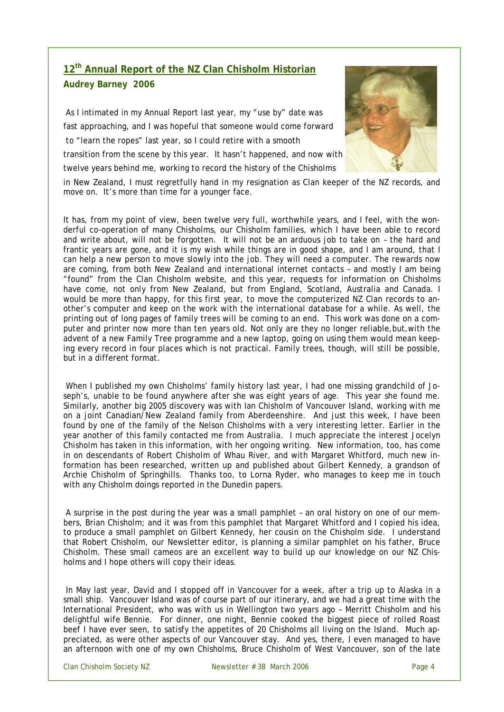## **12th Annual Report of the NZ Clan Chisholm Historian Audrey Barney 2006**

As I intimated in my Annual Report last year, my "use by" date was fast approaching, and I was hopeful that someone would come forward to "learn the ropes" last year, so I could retire with a smooth transition from the scene by this year. It hasn't happened, and now with twelve years behind me, working to record the history of the Chisholms



in New Zealand, I must regretfully hand in my resignation as Clan keeper of the NZ records, and move on. It's more than time for a younger face.

It has, from my point of view, been twelve very full, worthwhile years, and I feel, with the wonderful co-operation of many Chisholms, our Chisholm families, which I have been able to record and write about, will not be forgotten. It will not be an arduous job to take on – the hard and frantic years are gone, and it is my wish while things are in good shape, and I am around, that I can help a new person to move slowly into the job. They will need a computer. The rewards now are coming, from both New Zealand and international internet contacts – and mostly I am being "found" from the Clan Chisholm website, and this year, requests for information on Chisholms have come, not only from New Zealand, but from England, Scotland, Australia and Canada. I would be more than happy, for this first year, to move the computerized NZ Clan records to another's computer and keep on the work with the international database for a while. As well, the printing out of long pages of family trees will be coming to an end. This work was done on a computer and printer now more than ten years old. Not only are they no longer reliable,but,with the advent of a new Family Tree programme and a new laptop, going on using them would mean keeping every record in four places which is not practical. Family trees, though, will still be possible, but in a different format.

When I published my own Chisholms' family history last year, I had one missing grandchild of Joseph's, unable to be found anywhere after she was eight years of age. This year she found me. Similarly, another big 2005 discovery was with Ian Chisholm of Vancouver Island, working with me on a joint Canadian/New Zealand family from Aberdeenshire. And just this week, I have been found by one of the family of the Nelson Chisholms with a very interesting letter. Earlier in the year another of this family contacted me from Australia. I much appreciate the interest Jocelyn Chisholm has taken in this information, with her ongoing writing. New information, too, has come in on descendants of Robert Chisholm of Whau River, and with Margaret Whitford, much new information has been researched, written up and published about Gilbert Kennedy, a grandson of Archie Chisholm of Springhills. Thanks too, to Lorna Ryder, who manages to keep me in touch with any Chisholm doings reported in the Dunedin papers.

A surprise in the post during the year was a small pamphlet – an oral history on one of our members, Brian Chisholm; and it was from this pamphlet that Margaret Whitford and I copied his idea, to produce a small pamphlet on Gilbert Kennedy, her cousin on the Chisholm side. I understand that Robert Chisholm, our Newsletter editor, is planning a similar pamphlet on his father, Bruce Chisholm. These small cameos are an excellent way to build up our knowledge on our NZ Chisholms and I hope others will copy their ideas.

In May last year, David and I stopped off in Vancouver for a week, after a trip up to Alaska in a small ship. Vancouver Island was of course part of our itinerary, and we had a great time with the International President, who was with us in Wellington two years ago – Merritt Chisholm and his delightful wife Bennie. For dinner, one night, Bennie cooked the biggest piece of rolled Roast beef I have ever seen, to satisfy the appetites of 20 Chisholms all living on the Island. Much appreciated, as were other aspects of our Vancouver stay. And yes, there, I even managed to have an afternoon with one of my own Chisholms, Bruce Chisholm of West Vancouver, son of the late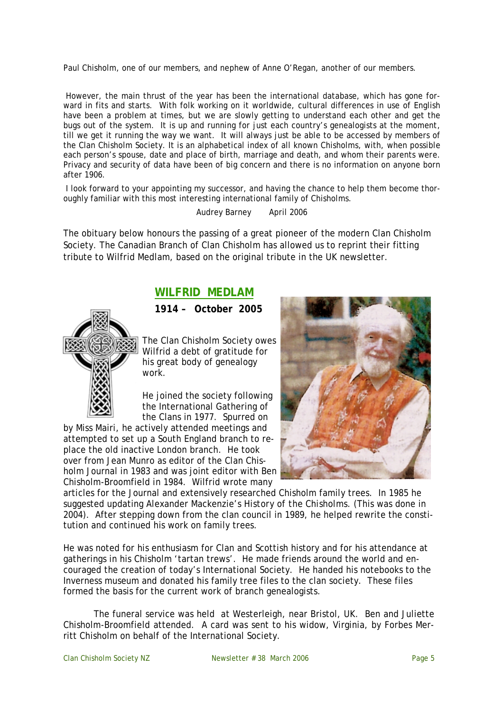Paul Chisholm, one of our members, and nephew of Anne O'Regan, another of our members.

However, the main thrust of the year has been the international database, which has gone forward in fits and starts. With folk working on it worldwide, cultural differences in use of English have been a problem at times, but we are slowly getting to understand each other and get the bugs out of the system. It is up and running for just each country's genealogists at the moment, till we get it running the way we want. It will always just be able to be accessed by members of the Clan Chisholm Society. It is an alphabetical index of all known Chisholms, with, when possible each person's spouse, date and place of birth, marriage and death, and whom their parents were. Privacy and security of data have been of big concern and there is no information on anyone born after 1906.

I look forward to your appointing my successor, and having the chance to help them become thoroughly familiar with this most interesting international family of Chisholms.

Audrey Barney April 2006

The obituary below honours the passing of a great pioneer of the modern Clan Chisholm Society. The Canadian Branch of Clan Chisholm has allowed us to reprint their fitting tribute to Wilfrid Medlam, based on the original tribute in the UK newsletter.

## **WILFRID MEDLAM**

**1914 – October 2005**



The Clan Chisholm Society owes Wilfrid a debt of gratitude for his great body of genealogy work.

He joined the society following the International Gathering of the Clans in 1977. Spurred on

by Miss Mairi, he actively attended meetings and attempted to set up a South England branch to replace the old inactive London branch. He took over from Jean Munro as editor of the Clan Chisholm Journal in 1983 and was joint editor with Ben Chisholm-Broomfield in 1984. Wilfrid wrote many



articles for the Journal and extensively researched Chisholm family trees. In 1985 he suggested updating Alexander Mackenzie's *History of the Chisholms.* (This was done in 2004). After stepping down from the clan council in 1989, he helped rewrite the constitution and continued his work on family trees.

He was noted for his enthusiasm for Clan and Scottish history and for his attendance at gatherings in his Chisholm 'tartan trews'. He made friends around the world and encouraged the creation of today's International Society. He handed his notebooks to the Inverness museum and donated his family tree files to the clan society. These files formed the basis for the current work of branch genealogists.

The funeral service was held at Westerleigh, near Bristol, UK. Ben and Juliette Chisholm-Broomfield attended. A card was sent to his widow, Virginia, by Forbes Merritt Chisholm on behalf of the International Society.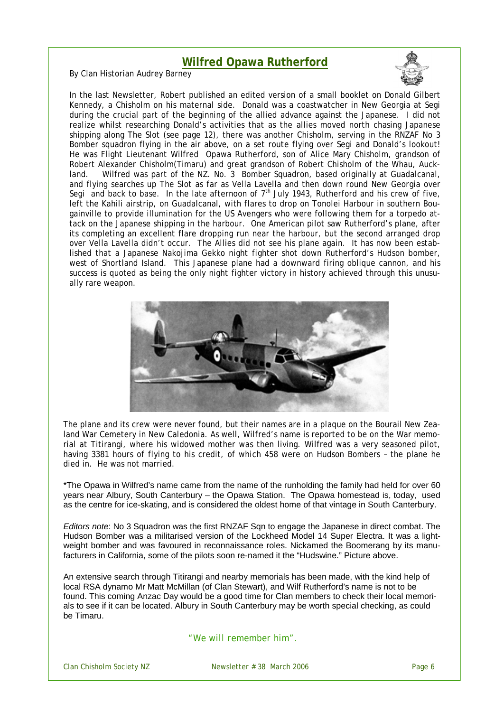## **Wilfred Opawa Rutherford**

By Clan Historian Audrey Barney



In the last Newsletter, Robert published an edited version of a small booklet on Donald Gilbert Kennedy, a Chisholm on his maternal side. Donald was a coastwatcher in New Georgia at Segi during the crucial part of the beginning of the allied advance against the Japanese. I did not realize whilst researching Donald's activities that as the allies moved north chasing Japanese shipping along The Slot (see page 12), there was another Chisholm, serving in the RNZAF No 3 Bomber squadron flying in the air above, on a set route flying over Segi and Donald's lookout! He was Flight Lieutenant Wilfred Opawa Rutherford, son of Alice Mary Chisholm, grandson of Robert Alexander Chisholm(Timaru) and great grandson of Robert Chisholm of the Whau, Auckland. Wilfred was part of the NZ. No. 3 Bomber Squadron, based originally at Guadalcanal, and flying searches up The Slot as far as Vella Lavella and then down round New Georgia over Segi and back to base. In the late afternoon of  $7<sup>th</sup>$  July 1943, Rutherford and his crew of five, left the Kahili airstrip, on Guadalcanal, with flares to drop on Tonolei Harbour in southern Bougainville to provide illumination for the US Avengers who were following them for a torpedo attack on the Japanese shipping in the harbour. One American pilot saw Rutherford's plane, after its completing an excellent flare dropping run near the harbour, but the second arranged drop over Vella Lavella didn't occur. The Allies did not see his plane again. It has now been established that a Japanese Nakojima Gekko night fighter shot down Rutherford's Hudson bomber, west of Shortland Island. This Japanese plane had a downward firing oblique cannon, and his success is quoted as being the only night fighter victory in history achieved through this unusually rare weapon.



The plane and its crew were never found, but their names are in a plaque on the Bourail New Zealand War Cemetery in New Caledonia. As well, Wilfred's name is reported to be on the War memorial at Titirangi, where his widowed mother was then living. Wilfred was a very seasoned pilot, having 3381 hours of flying to his credit, of which 458 were on Hudson Bombers – the plane he died in. He was not married.

\*The Opawa in Wilfred's name came from the name of the runholding the family had held for over 60 years near Albury, South Canterbury – the Opawa Station. The Opawa homestead is, today, used as the centre for ice-skating, and is considered the oldest home of that vintage in South Canterbury.

*Editors note*: No 3 Squadron was the first RNZAF Sqn to engage the Japanese in direct combat. The Hudson Bomber was a militarised version of the Lockheed Model 14 Super Electra. It was a lightweight bomber and was favoured in reconnaissance roles. Nickamed the Boomerang by its manufacturers in California, some of the pilots soon re-named it the "Hudswine." Picture above.

An extensive search through Titirangi and nearby memorials has been made, with the kind help of local RSA dynamo Mr Matt McMillan (of Clan Stewart), and Wilf Rutherford's name is not to be found. This coming Anzac Day would be a good time for Clan members to check their local memorials to see if it can be located. Albury in South Canterbury may be worth special checking, as could be Timaru.

"*We will remember him".*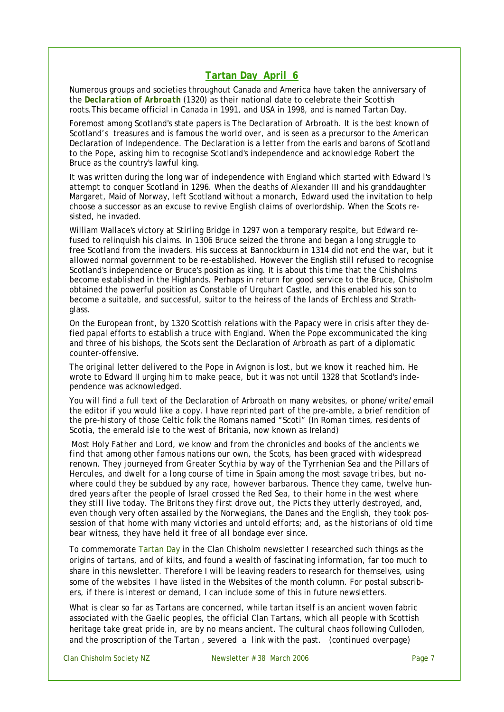### **Tartan Day April 6**

Numerous groups and societies throughout Canada and America have taken the anniversary of the *Declaration of Arbroath* (1320) as their national date to celebrate their Scottish roots.This became official in Canada in 1991, and USA in 1998, and is named Tartan Day.

Foremost among Scotland's state papers is The Declaration of Arbroath. It is the best known of Scotland's treasures and is famous the world over, and is seen as a precursor to the American Declaration of Independence. The Declaration is a letter from the earls and barons of Scotland to the Pope, asking him to recognise Scotland's independence and acknowledge Robert the Bruce as the country's lawful king.

It was written during the long war of independence with England which started with Edward l's attempt to conquer Scotland in 1296. When the deaths of Alexander III and his granddaughter Margaret, Maid of Norway, left Scotland without a monarch, Edward used the invitation to help choose a successor as an excuse to revive English claims of overlordship. When the Scots resisted, he invaded.

William Wallace's victory at Stirling Bridge in 1297 won a temporary respite, but Edward refused to relinquish his claims. In 1306 Bruce seized the throne and began a long struggle to free Scotland from the invaders. His success at Bannockburn in 1314 did not end the war, but it allowed normal government to be re-established. However the English still refused to recognise Scotland's independence or Bruce's position as king. It is about this time that the Chisholms become established in the Highlands. Perhaps in return for good service to the Bruce, Chisholm obtained the powerful position as Constable of Urquhart Castle, and this enabled his son to become a suitable, and successful, suitor to the heiress of the lands of Erchless and Strathglass.

On the European front, by 1320 Scottish relations with the Papacy were in crisis after they defied papal efforts to establish a truce with England. When the Pope excommunicated the king and three of his bishops, the Scots sent the Declaration of Arbroath as part of a diplomatic counter-offensive.

The original letter delivered to the Pope in Avignon is lost, but we know it reached him. He wrote to Edward II urging him to make peace, but it was not until 1328 that Scotland's independence was acknowledged.

You will find a full text of the Declaration of Arbroath on many websites, or phone/write/email the editor if you would like a copy. I have reprinted part of the pre-amble, a brief rendition of the pre-history of those Celtic folk the Romans named "Scoti" (In Roman times, residents of Scotia, the emerald isle to the west of Britania, now known as Ireland)

*Most Holy Father and Lord, we know and from the chronicles and books of the ancients we find that among other famous nations our own, the Scots, has been graced with widespread renown. They journeyed from Greater Scythia by way of the Tyrrhenian Sea and the Pillars of Hercules, and dwelt for a long course of time in Spain among the most savage tribes, but nowhere could they be subdued by any race, however barbarous. Thence they came, twelve hundred years after the people of Israel crossed the Red Sea, to their home in the west where they still live today. The Britons they first drove out, the Picts they utterly destroyed, and, even though very often assailed by the Norwegians, the Danes and the English, they took possession of that home with many victories and untold efforts; and, as the historians of old time bear witness, they have held it free of all bondage ever since.* 

To commemorate Tartan Day in the Clan Chisholm newsletter I researched such things as the origins of tartans, and of kilts, and found a wealth of fascinating information, far too much to share in this newsletter. Therefore I will be leaving readers to research for themselves, using some of the websites I have listed in the Websites of the month column. For postal subscribers, if there is interest or demand, I can include some of this in future newsletters.

What is clear so far as Tartans are concerned, while tartan itself is an ancient woven fabric associated with the Gaelic peoples, the official Clan Tartans, which all people with Scottish heritage take great pride in, are by no means ancient. The cultural chaos following Culloden, and the proscription of the Tartan , severed a link with the past*. (continued overpage)*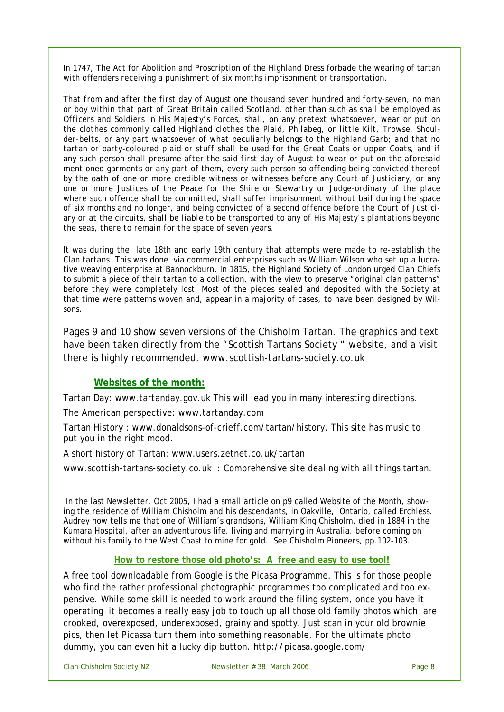In 1747, The Act for Abolition and Proscription of the Highland Dress forbade the wearing of tartan with offenders receiving a punishment of six months imprisonment or transportation.

*That from and after the first day of August one thousand seven hundred and forty-seven, no man or boy within that part of Great Britain called Scotland, other than such as shall be employed as Officers and Soldiers in His Majesty's Forces, shall, on any pretext whatsoever, wear or put on the clothes commonly called Highland clothes the Plaid, Philabeg, or little Kilt, Trowse, Shoulder-belts, or any part whatsoever of what peculiarly belongs to the Highland Garb; and that no tartan or party-coloured plaid or stuff shall be used for the Great Coats or upper Coats, and if any such person shall presume after the said first day of August to wear or put on the aforesaid mentioned garments or any part of them, every such person so offending being convicted thereof by the oath of one or more credible witness or witnesses before any Court of Justiciary, or any one or more Justices of the Peace for the Shire or Stewartry or Judge-ordinary of the place where such offence shall be committed, shall suffer imprisonment without bail during the space of six months and no longer, and being convicted of a second offence before the Court of Justiciary or at the circuits, shall be liable to be transported to any of His Majesty's plantations beyond the seas, there to remain for the space of seven years.*

It was during the late 18th and early 19th century that attempts were made to re-establish the Clan tartans .This was done via commercial enterprises such as William Wilson who set up a lucrative weaving enterprise at Bannockburn. In 1815, the Highland Society of London urged Clan Chiefs to submit a piece of their tartan to a collection, with the view to preserve "original clan patterns" before they were completely lost. Most of the pieces sealed and deposited with the Society at that time were patterns woven and, appear in a majority of cases, to have been designed by Wilsons.

Pages 9 and 10 show seven versions of the Chisholm Tartan. The graphics and text have been taken directly from the "Scottish Tartans Society " website, and a visit there is highly recommended. www.scottish-tartans-society.co.uk

#### **Websites of the month:**

Tartan Day: www.tartanday.gov.uk This will lead you in many interesting directions.

The American perspective: www.tartanday.com

Tartan History : www.donaldsons-of-crieff.com/tartan/history. This site has music to put you in the right mood.

A short history of Tartan: www.users.zetnet.co.uk/tartan

www.scottish-tartans-society.co.uk : Comprehensive site dealing with all things tartan.

In the last Newsletter, Oct 2005, I had a small article on p9 called Website of the Month, showing the residence of William Chisholm and his descendants, in Oakville, Ontario, called Erchless. Audrey now tells me that one of William's grandsons, William King Chisholm, died in 1884 in the Kumara Hospital, after an adventurous life, living and marrying in Australia, before coming on without his family to the West Coast to mine for gold. See *Chisholm Pioneers*, pp.102-103.

#### **How to restore those old photo's: A free and easy to use tool!**

A free tool downloadable from Google is the Picasa Programme. This is for those people who find the rather professional photographic programmes too complicated and too expensive. While some skill is needed to work around the filing system, once you have it operating it becomes a really easy job to touch up all those old family photos which are crooked, overexposed, underexposed, grainy and spotty. Just scan in your old brownie pics, then let Picassa turn them into something reasonable. For the ultimate photo dummy, you can even hit a lucky dip button. http://picasa.google.com/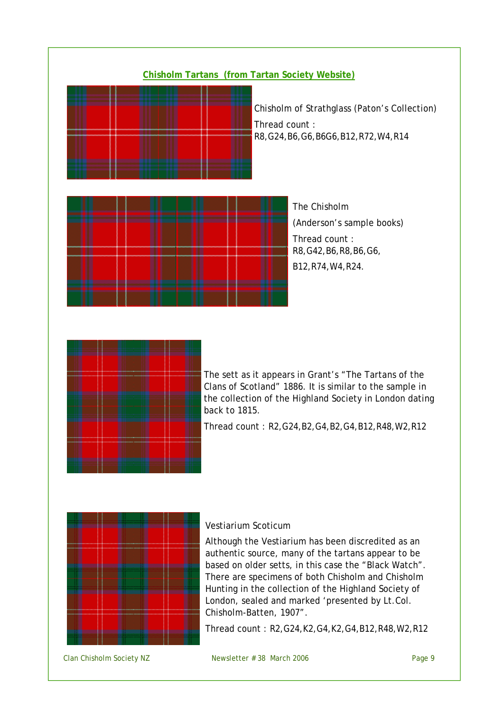



Thread count : R2,G24,B2,G4,B2,G4,B12,R48,W2,R12



#### Vestiarium Scoticum

Although the Vestiarium has been discredited as an authentic source, many of the tartans appear to be based on older setts, in this case the "Black Watch". There are specimens of both Chisholm and Chisholm Hunting in the collection of the Highland Society of London, sealed and marked 'presented by Lt.Col. Chisholm-Batten, 1907".

Thread count : R2,G24,K2,G4,K2,G4,B12,R48,W2,R12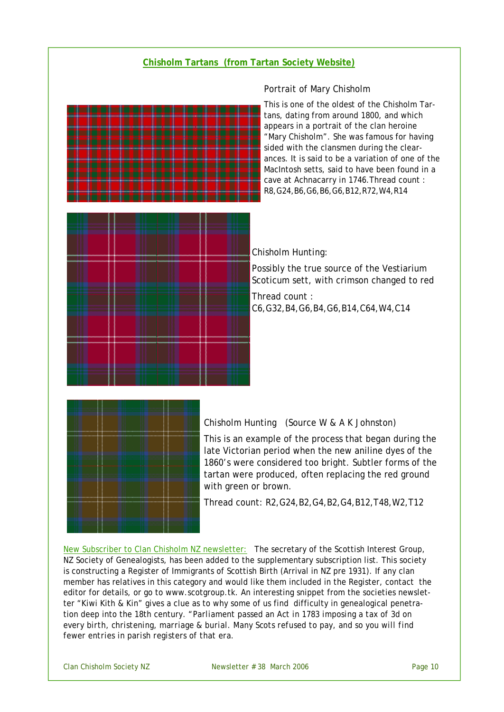#### **Chisholm Tartans (from Tartan Society Website)**



#### Portrait of Mary Chisholm

This is one of the oldest of the Chisholm Tartans, dating from around 1800, and which appears in a portrait of the clan heroine "Mary Chisholm". She was famous for having sided with the clansmen during the clearances. It is said to be a variation of one of the MacIntosh setts, said to have been found in a cave at Achnacarry in 1746.Thread count : R8,G24,B6,G6,B6,G6,B12,R72,W4,R14

Chisholm Hunting:

Possibly the true source of the Vestiarium Scoticum sett, with crimson changed to red

Thread count : C6,G32,B4,G6,B4,G6,B14,C64,W4,C14



Chisholm Hunting (Source W & A K Johnston)

This is an example of the process that began during the late Victorian period when the new aniline dyes of the 1860's were considered too bright. Subtler forms of the tartan were produced, often replacing the red ground with green or brown.

Thread count: R2,G24,B2,G4,B2,G4,B12,T48,W2,T12

New Subscriber to Clan Chisholm NZ newsletter: The secretary of the Scottish Interest Group, NZ Society of Genealogists, has been added to the supplementary subscription list. This society is constructing a Register of Immigrants of Scottish Birth (Arrival in NZ pre 1931). If any clan member has relatives in this category and would like them included in the Register, contact the editor for details, or go to www.scotgroup.tk. An interesting snippet from the societies newsletter "Kiwi Kith & Kin" gives a clue as to why some of us find difficulty in genealogical penetration deep into the 18th century. "*Parliament passed an Act in 1783 imposing a tax of 3d on every birth, christening, marriage & burial. Many Scots refused to pay, and so you will find fewer entries in parish registers of that era.*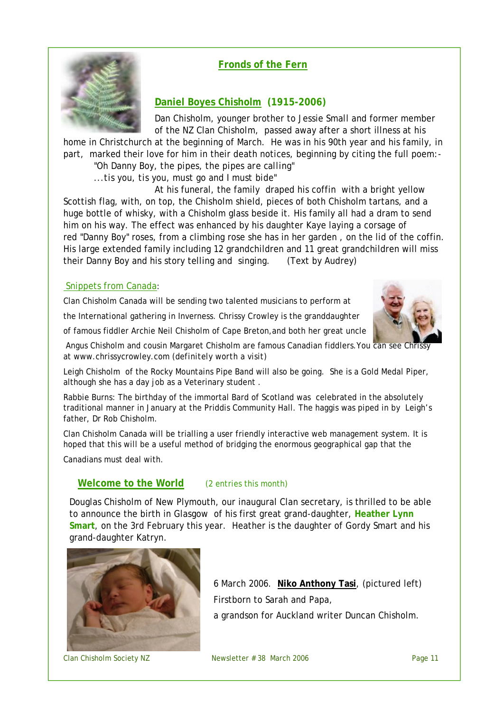### **Fronds of the Fern**



### **Daniel Boyes Chisholm (1915-2006)**

Dan Chisholm, younger brother to Jessie Small and former member of the NZ Clan Chisholm, passed away after a short illness at his

home in Christchurch at the beginning of March. He was in his 90th year and his family, in part, marked their love for him in their death notices, beginning by citing the full poem:- *"Oh Danny Boy, the pipes, the pipes are calling"* 

*...tis you, tis you, must go and I must bide"*

At his funeral, the family draped his coffin with a bright yellow Scottish flag, with, on top, the Chisholm shield, pieces of both Chisholm tartans, and a huge bottle of whisky, with a Chisholm glass beside it. His family all had a dram to send him on his way. The effect was enhanced by his daughter Kaye laying a corsage of red "Danny Boy" roses, from a climbing rose she has in her garden , on the lid of the coffin. His large extended family including 12 grandchildren and 11 great grandchildren will miss

## Snippets from Canada:

Clan Chisholm Canada will be sending two talented musicians to perform at

their Danny Boy and his story telling and singing. (Text by Audrey)

the International gathering in Inverness. Chrissy Crowley is the granddaughter

of famous fiddler Archie Neil Chisholm of Cape Breton,and both her great uncle

Angus Chisholm and cousin Margaret Chisholm are famous Canadian fiddlers.You can see Chrissy at www.chrissycrowley.com *(definitely worth a visit)* 

Leigh Chisholm of the Rocky Mountains Pipe Band will also be going. She is a Gold Medal Piper, although she has a day job as a Veterinary student .

Rabbie Burns: The birthday of the immortal Bard of Scotland was celebrated in the absolutely traditional manner in January at the Priddis Community Hall. The haggis was piped in by Leigh's father, Dr Rob Chisholm.

Clan Chisholm Canada will be trialling a user friendly interactive web management system. It is hoped that this will be a useful method of bridging the enormous geographical gap that the

Canadians must deal with.

### **Welcome to the World** (2 entries this month)

Douglas Chisholm of New Plymouth, our inaugural Clan secretary, is thrilled to be able to announce the birth in Glasgow of his first great grand-daughter, **Heather Lynn Smart**, on the 3rd February this year. Heather is the daughter of Gordy Smart and his grand-daughter Katryn.



6 March 2006. **Niko Anthony Tasi**, (pictured left) Firstborn to Sarah and Papa,

a grandson for Auckland writer Duncan Chisholm.